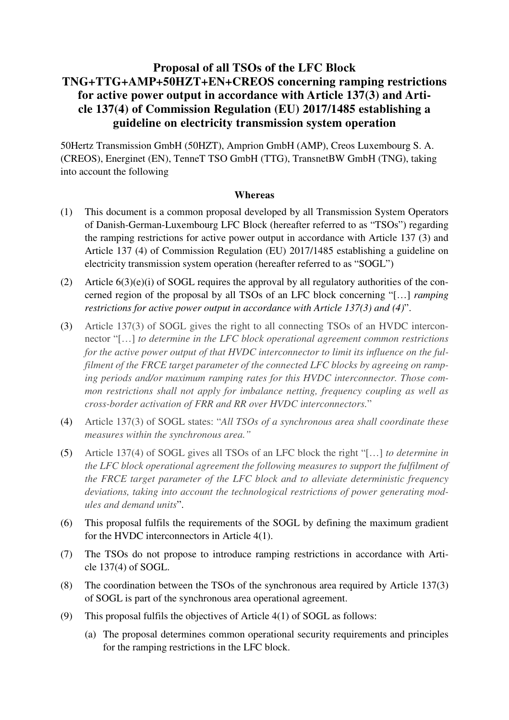# **Proposal of all TSOs of the LFC Block TNG+TTG+AMP+50HZT+EN+CREOS concerning ramping restrictions for active power output in accordance with Article 137(3) and Article 137(4) of Commission Regulation (EU) 2017/1485 establishing a guideline on electricity transmission system operation**

50Hertz Transmission GmbH (50HZT), Amprion GmbH (AMP), Creos Luxembourg S. A. (CREOS), Energinet (EN), TenneT TSO GmbH (TTG), TransnetBW GmbH (TNG), taking into account the following

#### **Whereas**

- (1) This document is a common proposal developed by all Transmission System Operators of Danish-German-Luxembourg LFC Block (hereafter referred to as "TSOs") regarding the ramping restrictions for active power output in accordance with Article 137 (3) and Article 137 (4) of Commission Regulation (EU) 2017/1485 establishing a guideline on electricity transmission system operation (hereafter referred to as "SOGL")
- (2) Article  $6(3)(e)(i)$  of SOGL requires the approval by all regulatory authorities of the concerned region of the proposal by all TSOs of an LFC block concerning "[…] *ramping restrictions for active power output in accordance with Article 137(3) and (4)*".
- (3) Article 137(3) of SOGL gives the right to all connecting TSOs of an HVDC interconnector "[…] *to determine in the LFC block operational agreement common restrictions for the active power output of that HVDC interconnector to limit its influence on the fulfilment of the FRCE target parameter of the connected LFC blocks by agreeing on ramping periods and/or maximum ramping rates for this HVDC interconnector. Those common restrictions shall not apply for imbalance netting, frequency coupling as well as cross-border activation of FRR and RR over HVDC interconnectors.*"
- (4) Article 137(3) of SOGL states: "*All TSOs of a synchronous area shall coordinate these measures within the synchronous area."*
- (5) Article 137(4) of SOGL gives all TSOs of an LFC block the right "[…] *to determine in the LFC block operational agreement the following measures to support the fulfilment of the FRCE target parameter of the LFC block and to alleviate deterministic frequency deviations, taking into account the technological restrictions of power generating modules and demand units*".
- (6) This proposal fulfils the requirements of the SOGL by defining the maximum gradient for the HVDC interconnectors in Article 4(1).
- (7) The TSOs do not propose to introduce ramping restrictions in accordance with Article 137(4) of SOGL.
- (8) The coordination between the TSOs of the synchronous area required by Article 137(3) of SOGL is part of the synchronous area operational agreement.
- (9) This proposal fulfils the objectives of Article 4(1) of SOGL as follows:
	- (a) The proposal determines common operational security requirements and principles for the ramping restrictions in the LFC block.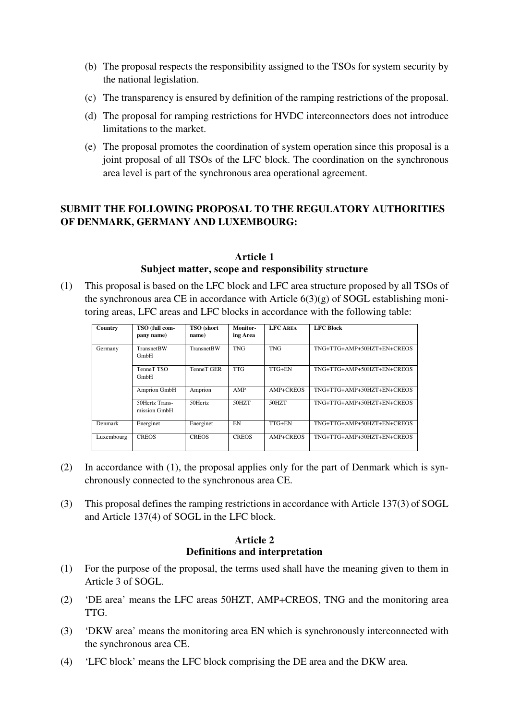- (b) The proposal respects the responsibility assigned to the TSOs for system security by the national legislation.
- (c) The transparency is ensured by definition of the ramping restrictions of the proposal.
- (d) The proposal for ramping restrictions for HVDC interconnectors does not introduce limitations to the market.
- (e) The proposal promotes the coordination of system operation since this proposal is a joint proposal of all TSOs of the LFC block. The coordination on the synchronous area level is part of the synchronous area operational agreement.

# **SUBMIT THE FOLLOWING PROPOSAL TO THE REGULATORY AUTHORITIES OF DENMARK, GERMANY AND LUXEMBOURG:**

#### **Article 1 Subject matter, scope and responsibility structure**

(1) This proposal is based on the LFC block and LFC area structure proposed by all TSOs of the synchronous area CE in accordance with Article  $6(3)(g)$  of SOGL establishing monitoring areas, LFC areas and LFC blocks in accordance with the following table:

| Country    | TSO (full com-<br>pany name)   | <b>TSO</b> (short<br>name) | Monitor-<br>ing Area | <b>LFC AREA</b> | <b>LFC Block</b>           |
|------------|--------------------------------|----------------------------|----------------------|-----------------|----------------------------|
| Germany    | <b>TransnetBW</b><br>GmbH      | <b>TransnetBW</b>          | <b>TNG</b>           | <b>TNG</b>      | TNG+TTG+AMP+50HZT+EN+CREOS |
|            | TenneT TSO<br>GmbH             | TenneT GER                 | <b>TTG</b>           | TTG+EN          | TNG+TTG+AMP+50HZT+EN+CREOS |
|            | Amprion GmbH                   | Amprion                    | AMP                  | AMP+CREOS       | TNG+TTG+AMP+50HZT+EN+CREOS |
|            | 50Hertz Trans-<br>mission GmbH | 50Hertz                    | 50HZT                | 50HZT           | TNG+TTG+AMP+50HZT+EN+CREOS |
| Denmark    | Energinet                      | Energinet                  | <b>EN</b>            | TTG+EN          | TNG+TTG+AMP+50HZT+EN+CREOS |
| Luxembourg | <b>CREOS</b>                   | <b>CREOS</b>               | <b>CREOS</b>         | AMP+CREOS       | TNG+TTG+AMP+50HZT+EN+CREOS |

- (2) In accordance with (1), the proposal applies only for the part of Denmark which is synchronously connected to the synchronous area CE.
- (3) This proposal defines the ramping restrictions in accordance with Article 137(3) of SOGL and Article 137(4) of SOGL in the LFC block.

### **Article 2 Definitions and interpretation**

- (1) For the purpose of the proposal, the terms used shall have the meaning given to them in Article 3 of SOGL.
- (2) 'DE area' means the LFC areas 50HZT, AMP+CREOS, TNG and the monitoring area TTG.
- (3) 'DKW area' means the monitoring area EN which is synchronously interconnected with the synchronous area CE.
- (4) 'LFC block' means the LFC block comprising the DE area and the DKW area.